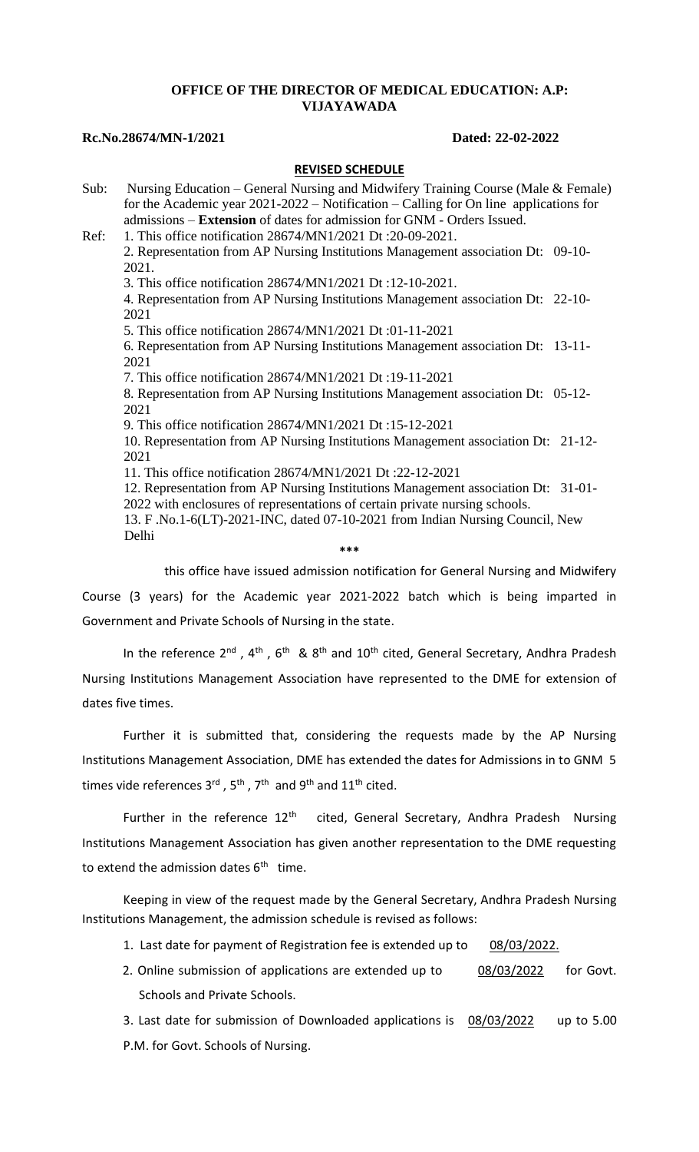## **OFFICE OF THE DIRECTOR OF MEDICAL EDUCATION: A.P: VIJAYAWADA**

### **Rc.No.28674/MN-1/2021 Dated: 22-02-2022**

### **REVISED SCHEDULE**

Sub: Nursing Education – General Nursing and Midwifery Training Course (Male & Female) for the Academic year 2021-2022 – Notification – Calling for On line applications for admissions – **Extension** of dates for admission for GNM - Orders Issued. Ref: 1. This office notification 28674/MN1/2021 Dt :20-09-2021. 2. Representation from AP Nursing Institutions Management association Dt: 09-10- 2021. 3. This office notification 28674/MN1/2021 Dt :12-10-2021. 4. Representation from AP Nursing Institutions Management association Dt: 22-10- 2021 5. This office notification 28674/MN1/2021 Dt :01-11-2021 6. Representation from AP Nursing Institutions Management association Dt: 13-11- 2021 7. This office notification 28674/MN1/2021 Dt :19-11-2021 8. Representation from AP Nursing Institutions Management association Dt: 05-12- 2021 9. This office notification 28674/MN1/2021 Dt :15-12-2021 10. Representation from AP Nursing Institutions Management association Dt: 21-12- 2021 11. This office notification 28674/MN1/2021 Dt :22-12-2021 12. Representation from AP Nursing Institutions Management association Dt: 31-01- 2022 with enclosures of representations of certain private nursing schools. 13. F .No.1-6(LT)-2021-INC, dated 07-10-2021 from Indian Nursing Council, New Delhi **\*\*\***

this office have issued admission notification for General Nursing and Midwifery

Course (3 years) for the Academic year 2021-2022 batch which is being imparted in Government and Private Schools of Nursing in the state.

In the reference  $2^{nd}$  ,  $4^{th}$  ,  $6^{th}$  &  $8^{th}$  and  $10^{th}$  cited, General Secretary, Andhra Pradesh Nursing Institutions Management Association have represented to the DME for extension of dates five times.

Further it is submitted that, considering the requests made by the AP Nursing Institutions Management Association, DME has extended the dates for Admissions in to GNM 5 times vide references 3<sup>rd</sup> , 5<sup>th</sup> , 7<sup>th</sup> and 9<sup>th</sup> and 11<sup>th</sup> cited.

Further in the reference 12<sup>th</sup> cited, General Secretary, Andhra Pradesh Nursing Institutions Management Association has given another representation to the DME requesting to extend the admission dates 6<sup>th</sup> time.

Keeping in view of the request made by the General Secretary, Andhra Pradesh Nursing Institutions Management, the admission schedule is revised as follows:

- 1. Last date for payment of Registration fee is extended up to 08/03/2022.
- 2. Online submission of applications are extended up to 08/03/2022 for Govt. Schools and Private Schools.

3. Last date for submission of Downloaded applications is 08/03/2022 up to 5.00 P.M. for Govt. Schools of Nursing.